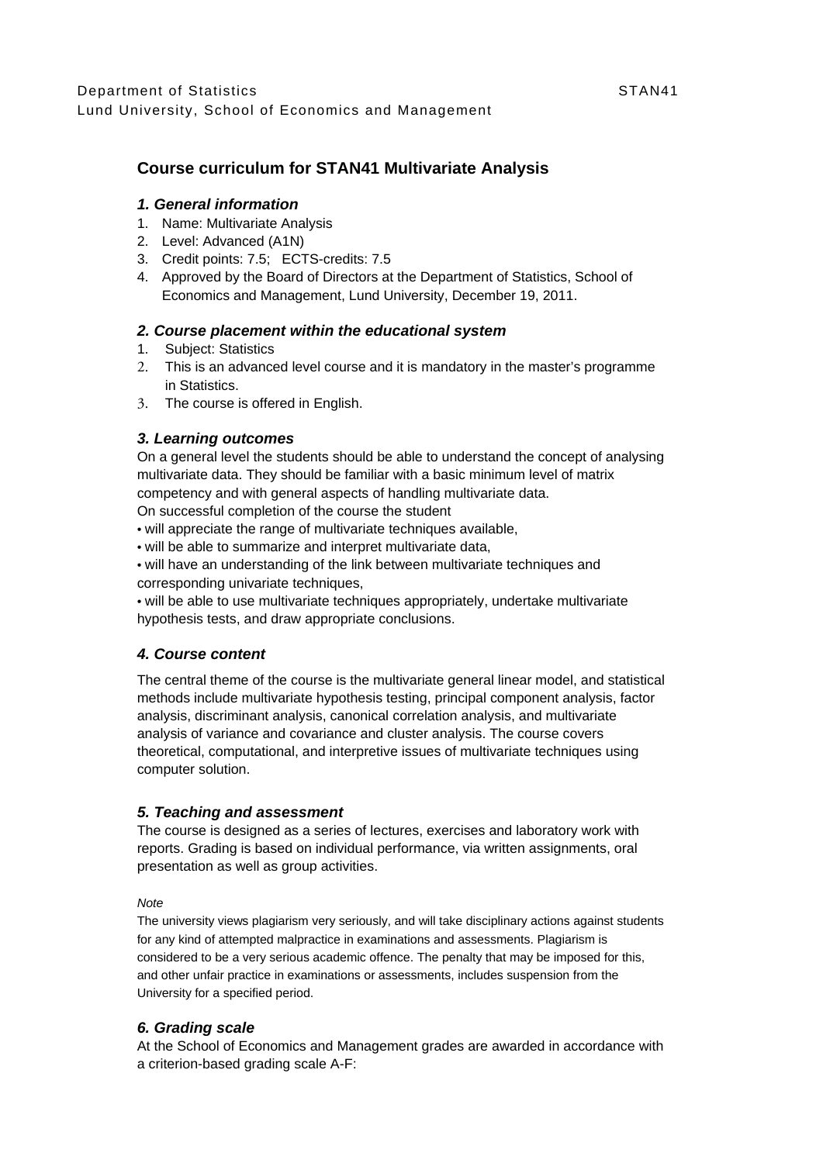# **Course curriculum for STAN41 Multivariate Analysis**

## *1. General information*

- 1. Name: Multivariate Analysis
- 2. Level: Advanced (A1N)
- 3. Credit points: 7.5; ECTS-credits: 7.5
- 4. Approved by the Board of Directors at the Department of Statistics, School of Economics and Management, Lund University, December 19, 2011.

## *2. Course placement within the educational system*

- 1. Subject: Statistics
- 2. This is an advanced level course and it is mandatory in the master's programme in Statistics.
- 3. The course is offered in English.

### *3. Learning outcomes*

On a general level the students should be able to understand the concept of analysing multivariate data. They should be familiar with a basic minimum level of matrix competency and with general aspects of handling multivariate data.

On successful completion of the course the student

- will appreciate the range of multivariate techniques available,
- will be able to summarize and interpret multivariate data,
- will have an understanding of the link between multivariate techniques and corresponding univariate techniques,

• will be able to use multivariate techniques appropriately, undertake multivariate hypothesis tests, and draw appropriate conclusions.

### *4. Course content*

The central theme of the course is the multivariate general linear model, and statistical methods include multivariate hypothesis testing, principal component analysis, factor analysis, discriminant analysis, canonical correlation analysis, and multivariate analysis of variance and covariance and cluster analysis. The course covers theoretical, computational, and interpretive issues of multivariate techniques using computer solution.

### *5. Teaching and assessment*

The course is designed as a series of lectures, exercises and laboratory work with reports. Grading is based on individual performance, via written assignments, oral presentation as well as group activities.

#### *Note*

The university views plagiarism very seriously, and will take disciplinary actions against students for any kind of attempted malpractice in examinations and assessments. Plagiarism is considered to be a very serious academic offence. The penalty that may be imposed for this, and other unfair practice in examinations or assessments, includes suspension from the University for a specified period.

## *6. Grading scale*

At the School of Economics and Management grades are awarded in accordance with a criterion-based grading scale A-F: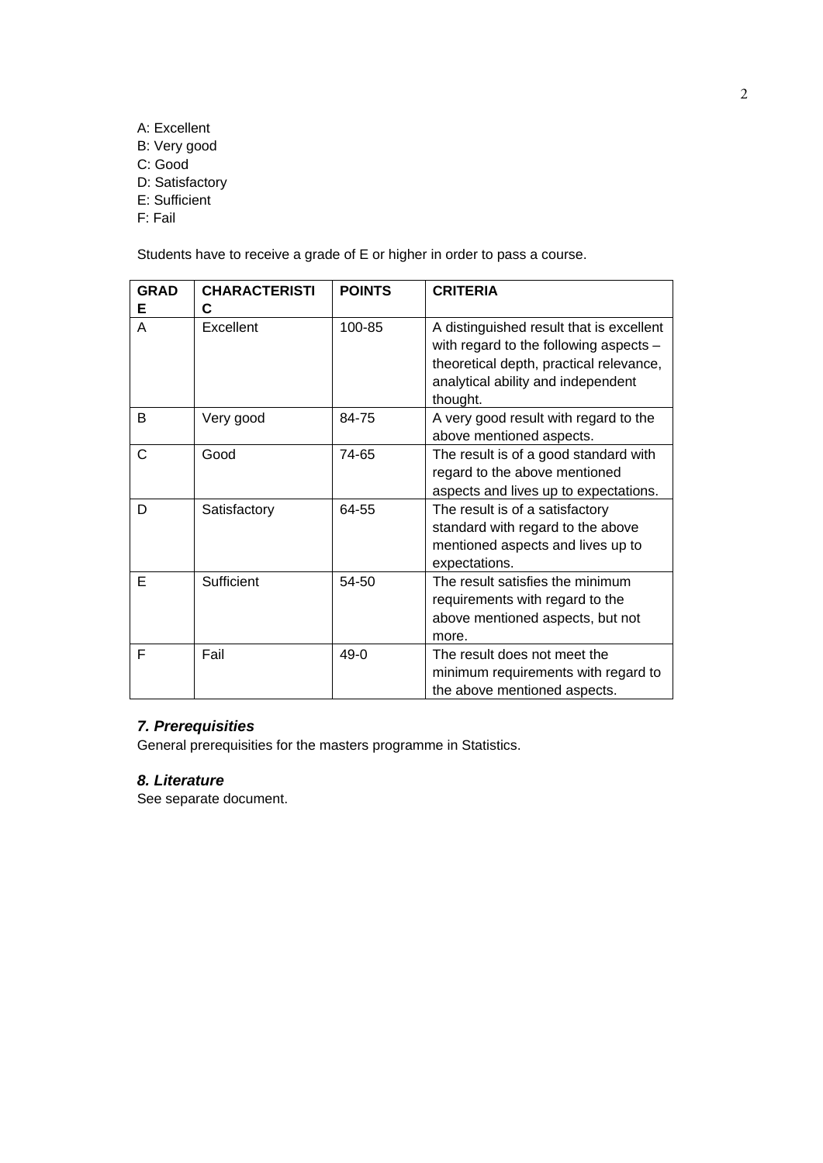- A: Excellent
- B: Very good
- C: Good
- D: Satisfactory
- E: Sufficient
- F: Fail

Students have to receive a grade of E or higher in order to pass a course.

| <b>GRAD</b><br>Е | <b>CHARACTERISTI</b><br>C | <b>POINTS</b> | <b>CRITERIA</b>                                                                                                                                                                   |
|------------------|---------------------------|---------------|-----------------------------------------------------------------------------------------------------------------------------------------------------------------------------------|
| A                | Excellent                 | 100-85        | A distinguished result that is excellent<br>with regard to the following aspects $-$<br>theoretical depth, practical relevance,<br>analytical ability and independent<br>thought. |
| B                | Very good                 | 84-75         | A very good result with regard to the<br>above mentioned aspects.                                                                                                                 |
| C                | Good                      | 74-65         | The result is of a good standard with<br>regard to the above mentioned<br>aspects and lives up to expectations.                                                                   |
| D                | Satisfactory              | 64-55         | The result is of a satisfactory<br>standard with regard to the above<br>mentioned aspects and lives up to<br>expectations.                                                        |
| Е                | Sufficient                | 54-50         | The result satisfies the minimum<br>requirements with regard to the<br>above mentioned aspects, but not<br>more.                                                                  |
| F                | Fail                      | $49-0$        | The result does not meet the<br>minimum requirements with regard to<br>the above mentioned aspects.                                                                               |

# *7. Prerequisities*

General prerequisities for the masters programme in Statistics.

# *8. Literature*

See separate document.